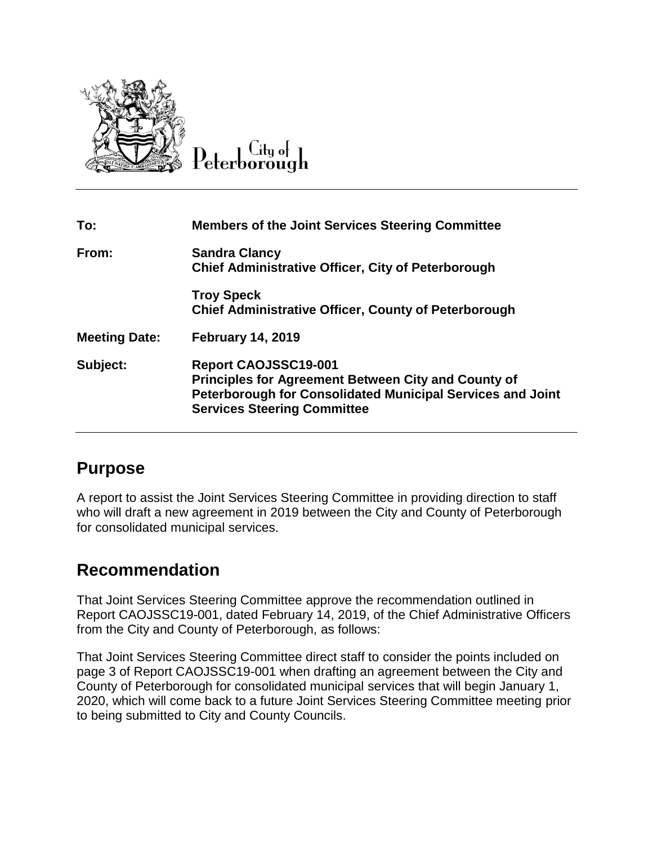

#### $C$ ity of Peterborough

| To:                  | <b>Members of the Joint Services Steering Committee</b>                                                                                                                                              |
|----------------------|------------------------------------------------------------------------------------------------------------------------------------------------------------------------------------------------------|
| From:                | <b>Sandra Clancy</b><br><b>Chief Administrative Officer, City of Peterborough</b>                                                                                                                    |
|                      | <b>Troy Speck</b><br><b>Chief Administrative Officer, County of Peterborough</b>                                                                                                                     |
| <b>Meeting Date:</b> | <b>February 14, 2019</b>                                                                                                                                                                             |
| Subject:             | <b>Report CAOJSSC19-001</b><br><b>Principles for Agreement Between City and County of</b><br><b>Peterborough for Consolidated Municipal Services and Joint</b><br><b>Services Steering Committee</b> |

### **Purpose**

A report to assist the Joint Services Steering Committee in providing direction to staff who will draft a new agreement in 2019 between the City and County of Peterborough for consolidated municipal services.

### **Recommendation**

That Joint Services Steering Committee approve the recommendation outlined in Report CAOJSSC19-001, dated February 14, 2019, of the Chief Administrative Officers from the City and County of Peterborough, as follows:

That Joint Services Steering Committee direct staff to consider the points included on page 3 of Report CAOJSSC19-001 when drafting an agreement between the City and County of Peterborough for consolidated municipal services that will begin January 1, 2020, which will come back to a future Joint Services Steering Committee meeting prior to being submitted to City and County Councils.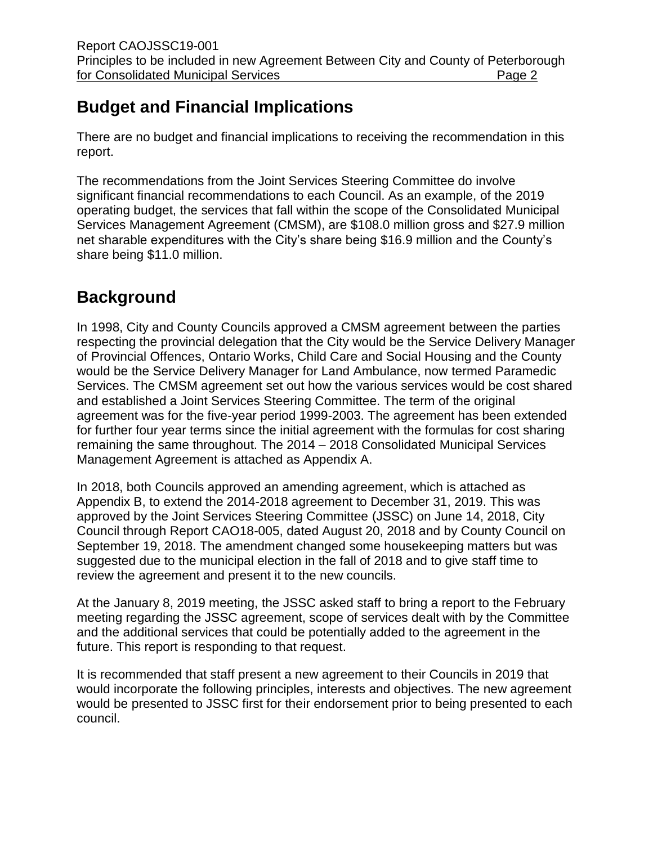# **Budget and Financial Implications**

There are no budget and financial implications to receiving the recommendation in this report.

The recommendations from the Joint Services Steering Committee do involve significant financial recommendations to each Council. As an example, of the 2019 operating budget, the services that fall within the scope of the Consolidated Municipal Services Management Agreement (CMSM), are \$108.0 million gross and \$27.9 million net sharable expenditures with the City's share being \$16.9 million and the County's share being \$11.0 million.

# **Background**

In 1998, City and County Councils approved a CMSM agreement between the parties respecting the provincial delegation that the City would be the Service Delivery Manager of Provincial Offences, Ontario Works, Child Care and Social Housing and the County would be the Service Delivery Manager for Land Ambulance, now termed Paramedic Services. The CMSM agreement set out how the various services would be cost shared and established a Joint Services Steering Committee. The term of the original agreement was for the five-year period 1999-2003. The agreement has been extended for further four year terms since the initial agreement with the formulas for cost sharing remaining the same throughout. The 2014 – 2018 Consolidated Municipal Services Management Agreement is attached as Appendix A.

In 2018, both Councils approved an amending agreement, which is attached as Appendix B, to extend the 2014-2018 agreement to December 31, 2019. This was approved by the Joint Services Steering Committee (JSSC) on June 14, 2018, City Council through Report CAO18-005, dated August 20, 2018 and by County Council on September 19, 2018. The amendment changed some housekeeping matters but was suggested due to the municipal election in the fall of 2018 and to give staff time to review the agreement and present it to the new councils.

At the January 8, 2019 meeting, the JSSC asked staff to bring a report to the February meeting regarding the JSSC agreement, scope of services dealt with by the Committee and the additional services that could be potentially added to the agreement in the future. This report is responding to that request.

It is recommended that staff present a new agreement to their Councils in 2019 that would incorporate the following principles, interests and objectives. The new agreement would be presented to JSSC first for their endorsement prior to being presented to each council.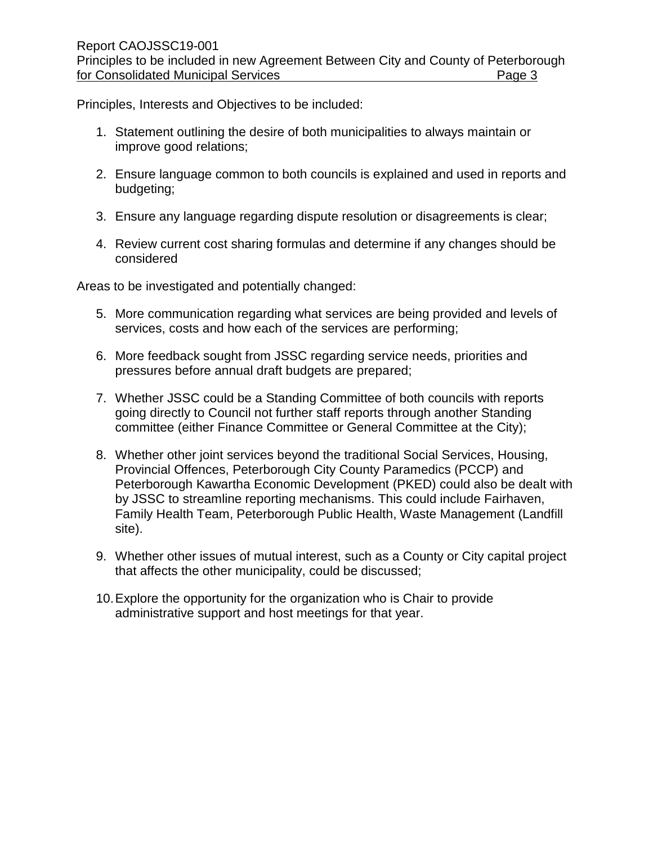Principles, Interests and Objectives to be included:

- 1. Statement outlining the desire of both municipalities to always maintain or improve good relations;
- 2. Ensure language common to both councils is explained and used in reports and budgeting;
- 3. Ensure any language regarding dispute resolution or disagreements is clear;
- 4. Review current cost sharing formulas and determine if any changes should be considered

Areas to be investigated and potentially changed:

- 5. More communication regarding what services are being provided and levels of services, costs and how each of the services are performing;
- 6. More feedback sought from JSSC regarding service needs, priorities and pressures before annual draft budgets are prepared;
- 7. Whether JSSC could be a Standing Committee of both councils with reports going directly to Council not further staff reports through another Standing committee (either Finance Committee or General Committee at the City);
- 8. Whether other joint services beyond the traditional Social Services, Housing, Provincial Offences, Peterborough City County Paramedics (PCCP) and Peterborough Kawartha Economic Development (PKED) could also be dealt with by JSSC to streamline reporting mechanisms. This could include Fairhaven, Family Health Team, Peterborough Public Health, Waste Management (Landfill site).
- 9. Whether other issues of mutual interest, such as a County or City capital project that affects the other municipality, could be discussed;
- 10.Explore the opportunity for the organization who is Chair to provide administrative support and host meetings for that year.